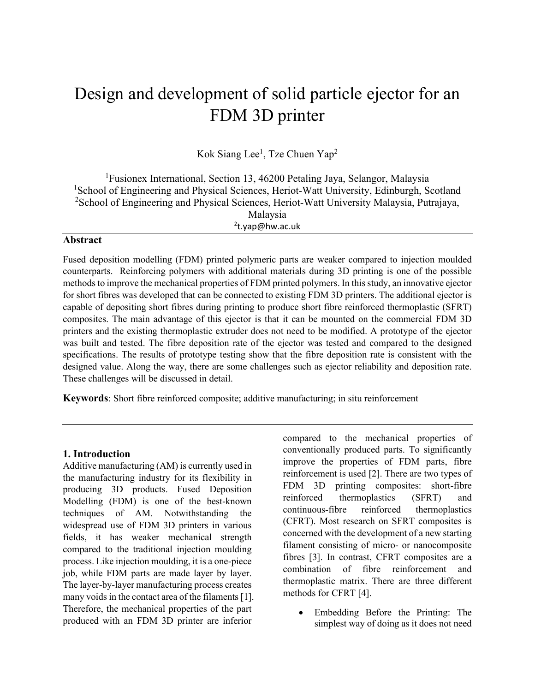# Design and development of solid particle ejector for an FDM 3D printer

Kok Siang Lee<sup>1</sup>, Tze Chuen Yap<sup>2</sup>

<sup>1</sup>Fusionex International, Section 13, 46200 Petaling Jaya, Selangor, Malaysia <sup>1</sup>School of Engineering and Physical Sciences, Heriot-Watt University, Edinburgh, Scotland <sup>2</sup>School of Engineering and Physical Sciences, Heriot-Watt University Malaysia, Putrajaya, Malaysia 2 t.yap@hw.ac.uk

## **Abstract**

Fused deposition modelling (FDM) printed polymeric parts are weaker compared to injection moulded counterparts. Reinforcing polymers with additional materials during 3D printing is one of the possible methods to improve the mechanical properties of FDM printed polymers. In this study, an innovative ejector for short fibres was developed that can be connected to existing FDM 3D printers. The additional ejector is capable of depositing short fibres during printing to produce short fibre reinforced thermoplastic (SFRT) composites. The main advantage of this ejector is that it can be mounted on the commercial FDM 3D printers and the existing thermoplastic extruder does not need to be modified. A prototype of the ejector was built and tested. The fibre deposition rate of the ejector was tested and compared to the designed specifications. The results of prototype testing show that the fibre deposition rate is consistent with the designed value. Along the way, there are some challenges such as ejector reliability and deposition rate. These challenges will be discussed in detail.

**Keywords**: Short fibre reinforced composite; additive manufacturing; in situ reinforcement

#### **1. Introduction**

Additive manufacturing (AM) is currently used in the manufacturing industry for its flexibility in producing 3D products. Fused Deposition Modelling (FDM) is one of the best-known techniques of AM. Notwithstanding the widespread use of FDM 3D printers in various fields, it has weaker mechanical strength compared to the traditional injection moulding process. Like injection moulding, it is a one-piece job, while FDM parts are made layer by layer. The layer-by-layer manufacturing process creates many voids in the contact area of the filaments [1]. Therefore, the mechanical properties of the part produced with an FDM 3D printer are inferior

compared to the mechanical properties of conventionally produced parts. To significantly improve the properties of FDM parts, fibre reinforcement is used [2]. There are two types of FDM 3D printing composites: short-fibre reinforced thermoplastics (SFRT) and continuous-fibre reinforced thermoplastics (CFRT). Most research on SFRT composites is concerned with the development of a new starting filament consisting of micro- or nanocomposite fibres [3]. In contrast, CFRT composites are a combination of fibre reinforcement and thermoplastic matrix. There are three different methods for CFRT [4].

• Embedding Before the Printing: The simplest way of doing as it does not need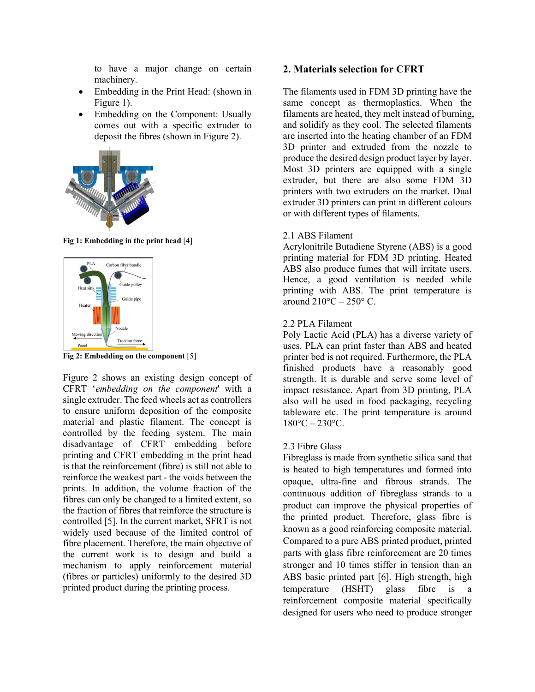to have a major change on certain machinery.

- Embedding in the Print Head: (shown in Figure 1).
- Embedding on the Component: Usually comes out with a specific extruder to deposit the fibres (shown in Figure 2).



**Fig 1: Embedding in the print head** [4]



**Fig 2: Embedding on the component** [5]

Figure 2 shows an existing design concept of CFRT '*embedding on the component*' with a single extruder. The feed wheels act as controllers to ensure uniform deposition of the composite material and plastic filament. The concept is controlled by the feeding system. The main disadvantage of CFRT embedding before printing and CFRT embedding in the print head is that the reinforcement (fibre) is still not able to reinforce the weakest part - the voids between the prints. In addition, the volume fraction of the fibres can only be changed to a limited extent, so the fraction of fibres that reinforce the structure is controlled [5]. In the current market, SFRT is not widely used because of the limited control of fibre placement. Therefore, the main objective of the current work is to design and build a mechanism to apply reinforcement material (fibres or particles) uniformly to the desired 3D printed product during the printing process.

## **2. Materials selection for CFRT**

The filaments used in FDM 3D printing have the same concept as thermoplastics. When the filaments are heated, they melt instead of burning, and solidify as they cool. The selected filaments are inserted into the heating chamber of an FDM 3D printer and extruded from the nozzle to produce the desired design product layer by layer. Most 3D printers are equipped with a single extruder, but there are also some FDM 3D printers with two extruders on the market. Dual extruder 3D printers can print in different colours or with different types of filaments.

## 2.1 ABS Filament

Acrylonitrile Butadiene Styrene (ABS) is a good printing material for FDM 3D printing. Heated ABS also produce fumes that will irritate users. Hence, a good ventilation is needed while printing with ABS. The print temperature is around  $210^{\circ}$ C –  $250^{\circ}$  C.

## 2.2 PLA Filament

Poly Lactic Acid (PLA) has a diverse variety of uses. PLA can print faster than ABS and heated printer bed is not required. Furthermore, the PLA finished products have a reasonably good strength. It is durable and serve some level of impact resistance. Apart from 3D printing, PLA also will be used in food packaging, recycling tableware etc. The print temperature is around  $180^{\circ}$ C – 230 $^{\circ}$ C.

## 2.3 Fibre Glass

Fibreglass is made from synthetic silica sand that is heated to high temperatures and formed into opaque, ultra-fine and fibrous strands. The continuous addition of fibreglass strands to a product can improve the physical properties of the printed product. Therefore, glass fibre is known as a good reinforcing composite material. Compared to a pure ABS printed product, printed parts with glass fibre reinforcement are 20 times stronger and 10 times stiffer in tension than an ABS basic printed part [6]. High strength, high temperature (HSHT) glass fibre is a reinforcement composite material specifically designed for users who need to produce stronger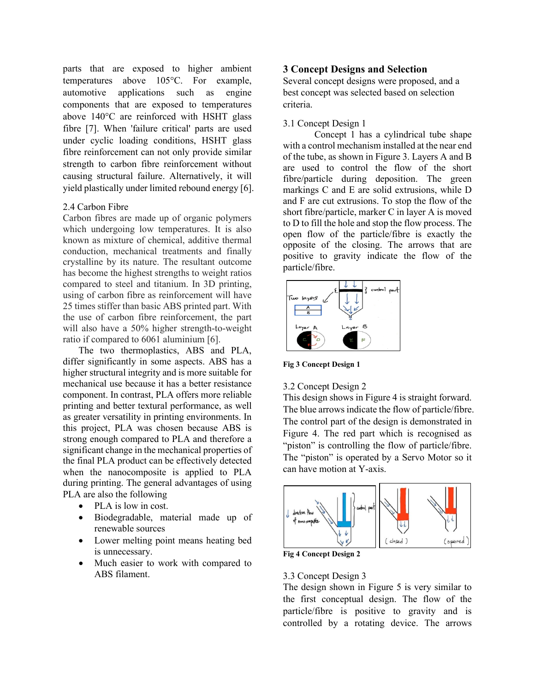parts that are exposed to higher ambient temperatures above 105°C. For example, automotive applications such as engine components that are exposed to temperatures above 140°C are reinforced with HSHT glass fibre [7]. When 'failure critical' parts are used under cyclic loading conditions, HSHT glass fibre reinforcement can not only provide similar strength to carbon fibre reinforcement without causing structural failure. Alternatively, it will yield plastically under limited rebound energy [6].

## 2.4 Carbon Fibre

Carbon fibres are made up of organic polymers which undergoing low temperatures. It is also known as mixture of chemical, additive thermal conduction, mechanical treatments and finally crystalline by its nature. The resultant outcome has become the highest strengths to weight ratios compared to steel and titanium. In 3D printing, using of carbon fibre as reinforcement will have 25 times stiffer than basic ABS printed part. With the use of carbon fibre reinforcement, the part will also have a 50% higher strength-to-weight ratio if compared to 6061 aluminium [6].

The two thermoplastics, ABS and PLA, differ significantly in some aspects. ABS has a higher structural integrity and is more suitable for mechanical use because it has a better resistance component. In contrast, PLA offers more reliable printing and better textural performance, as well as greater versatility in printing environments. In this project, PLA was chosen because ABS is strong enough compared to PLA and therefore a significant change in the mechanical properties of the final PLA product can be effectively detected when the nanocomposite is applied to PLA during printing. The general advantages of using PLA are also the following

- PLA is low in cost.
- Biodegradable, material made up of renewable sources
- Lower melting point means heating bed is unnecessary.
- Much easier to work with compared to ABS filament.

## **3 Concept Designs and Selection**

Several concept designs were proposed, and a best concept was selected based on selection criteria.

#### 3.1 Concept Design 1

Concept 1 has a cylindrical tube shape with a control mechanism installed at the near end of the tube, as shown in Figure 3. Layers A and B are used to control the flow of the short fibre/particle during deposition. The green markings C and E are solid extrusions, while D and F are cut extrusions. To stop the flow of the short fibre/particle, marker C in layer A is moved to D to fill the hole and stop the flow process. The open flow of the particle/fibre is exactly the opposite of the closing. The arrows that are positive to gravity indicate the flow of the particle/fibre.



**Fig 3 Concept Design 1**

#### 3.2 Concept Design 2

This design shows in Figure 4 is straight forward. The blue arrows indicate the flow of particle/fibre. The control part of the design is demonstrated in Figure 4. The red part which is recognised as "piston" is controlling the flow of particle/fibre. The "piston" is operated by a Servo Motor so it can have motion at Y-axis.



**Fig 4 Concept Design 2** 

## 3.3 Concept Design 3

The design shown in Figure 5 is very similar to the first conceptual design. The flow of the particle/fibre is positive to gravity and is controlled by a rotating device. The arrows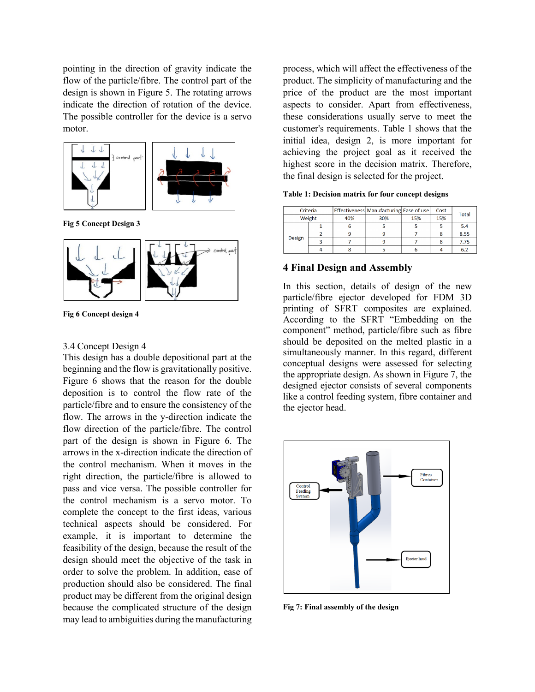pointing in the direction of gravity indicate the flow of the particle/fibre. The control part of the design is shown in Figure 5. The rotating arrows indicate the direction of rotation of the device. The possible controller for the device is a servo motor.



**Fig 5 Concept Design 3**



**Fig 6 Concept design 4**

#### 3.4 Concept Design 4

This design has a double depositional part at the beginning and the flow is gravitationally positive. Figure 6 shows that the reason for the double deposition is to control the flow rate of the particle/fibre and to ensure the consistency of the flow. The arrows in the y-direction indicate the flow direction of the particle/fibre. The control part of the design is shown in Figure 6. The arrows in the x-direction indicate the direction of the control mechanism. When it moves in the right direction, the particle/fibre is allowed to pass and vice versa. The possible controller for the control mechanism is a servo motor. To complete the concept to the first ideas, various technical aspects should be considered. For example, it is important to determine the feasibility of the design, because the result of the design should meet the objective of the task in order to solve the problem. In addition, ease of production should also be considered. The final product may be different from the original design because the complicated structure of the design may lead to ambiguities during the manufacturing

process, which will affect the effectiveness of the product. The simplicity of manufacturing and the price of the product are the most important aspects to consider. Apart from effectiveness, these considerations usually serve to meet the customer's requirements. Table 1 shows that the initial idea, design 2, is more important for achieving the project goal as it received the highest score in the decision matrix. Therefore, the final design is selected for the project.

#### **Table 1: Decision matrix for four concept designs**

| Criteria      |  |     | Effectiveness Manufacturing Ease of use |     | Cost | <b>Total</b> |  |
|---------------|--|-----|-----------------------------------------|-----|------|--------------|--|
| Weight        |  | 40% | 30%                                     | 15% | 15%  |              |  |
| <b>Design</b> |  |     |                                         |     |      | 5.4          |  |
|               |  |     |                                         |     | 8    | 8.55         |  |
|               |  |     |                                         |     |      | 7.75         |  |
|               |  |     |                                         |     |      | 6.2          |  |

## **4 Final Design and Assembly**

In this section, details of design of the new particle/fibre ejector developed for FDM 3D printing of SFRT composites are explained. According to the SFRT "Embedding on the component" method, particle/fibre such as fibre should be deposited on the melted plastic in a simultaneously manner. In this regard, different conceptual designs were assessed for selecting the appropriate design. As shown in Figure 7, the designed ejector consists of several components like a control feeding system, fibre container and the ejector head.



**Fig 7: Final assembly of the design**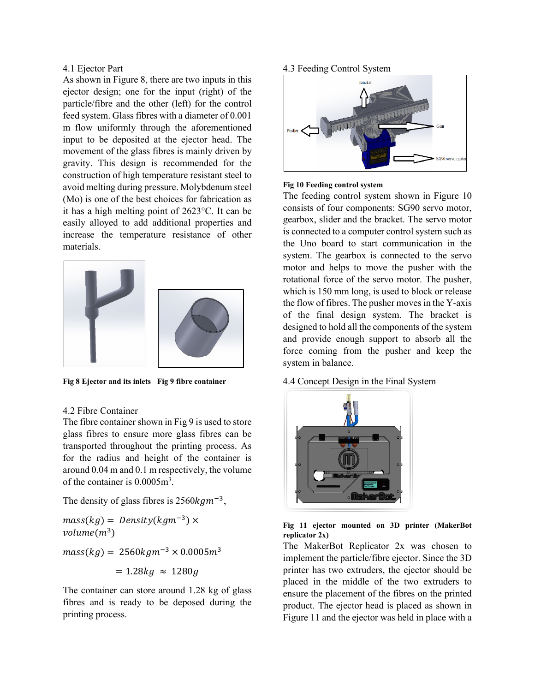#### 4.1 Ejector Part

As shown in Figure 8, there are two inputs in this ejector design; one for the input (right) of the particle/fibre and the other (left) for the control feed system. Glass fibres with a diameter of 0.001 m flow uniformly through the aforementioned input to be deposited at the ejector head. The movement of the glass fibres is mainly driven by gravity. This design is recommended for the construction of high temperature resistant steel to avoid melting during pressure. Molybdenum steel (Mo) is one of the best choices for fabrication as it has a high melting point of 2623°C. It can be easily alloyed to add additional properties and increase the temperature resistance of other materials.



**Fig 8 Ejector and its inlets Fig 9 fibre container**

#### 4.2 Fibre Container

The fibre container shown in Fig 9 is used to store glass fibres to ensure more glass fibres can be transported throughout the printing process. As for the radius and height of the container is around 0.04 m and 0.1 m respectively, the volume of the container is  $0.0005m<sup>3</sup>$ .

The density of glass fibres is  $2560kgm^{-3}$ ,

$$
mass(kg) = Density(kgm^{-3}) \times
$$
  

$$
volume(m^{3})
$$
  

$$
mass(kg) = 2560kgm^{-3} \times 0.0005m^{3}
$$
  

$$
= 1.28kg \approx 1280g
$$

The container can store around 1.28 kg of glass fibres and is ready to be deposed during the printing process.

#### 4.3 Feeding Control System



#### **Fig 10 Feeding control system**

The feeding control system shown in Figure 10 consists of four components: SG90 servo motor, gearbox, slider and the bracket. The servo motor is connected to a computer control system such as the Uno board to start communication in the system. The gearbox is connected to the servo motor and helps to move the pusher with the rotational force of the servo motor. The pusher, which is 150 mm long, is used to block or release the flow of fibres. The pusher moves in the Y-axis of the final design system. The bracket is designed to hold all the components of the system and provide enough support to absorb all the force coming from the pusher and keep the system in balance.

#### 4.4 Concept Design in the Final System



|  |                |  |  | Fig 11 ejector mounted on 3D printer (MakerBot |
|--|----------------|--|--|------------------------------------------------|
|  | replicator 2x) |  |  |                                                |

The MakerBot Replicator 2x was chosen to implement the particle/fibre ejector. Since the 3D printer has two extruders, the ejector should be placed in the middle of the two extruders to ensure the placement of the fibres on the printed product. The ejector head is placed as shown in Figure 11 and the ejector was held in place with a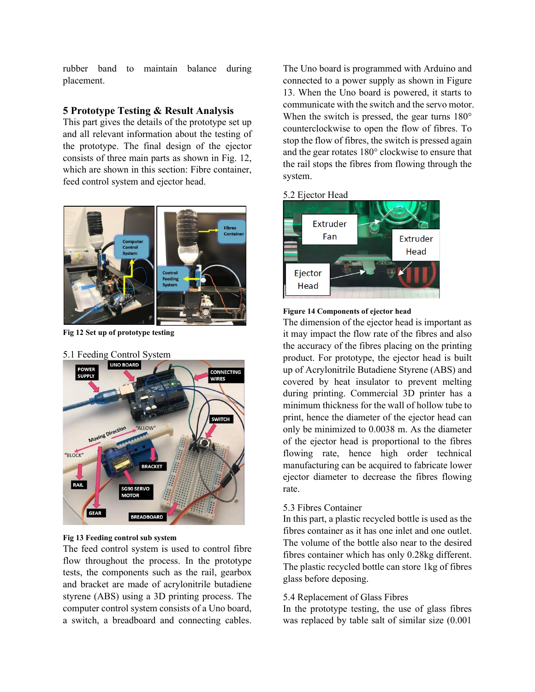rubber band to maintain balance during placement.

## **5 Prototype Testing & Result Analysis**

This part gives the details of the prototype set up and all relevant information about the testing of the prototype. The final design of the ejector consists of three main parts as shown in Fig. 12, which are shown in this section: Fibre container, feed control system and ejector head.



**Fig 12 Set up of prototype testing**



#### **Fig 13 Feeding control sub system**

The feed control system is used to control fibre flow throughout the process. In the prototype tests, the components such as the rail, gearbox and bracket are made of acrylonitrile butadiene styrene (ABS) using a 3D printing process. The computer control system consists of a Uno board, a switch, a breadboard and connecting cables. The Uno board is programmed with Arduino and connected to a power supply as shown in Figure 13. When the Uno board is powered, it starts to communicate with the switch and the servo motor. When the switch is pressed, the gear turns  $180^{\circ}$ counterclockwise to open the flow of fibres. To stop the flow of fibres, the switch is pressed again and the gear rotates 180° clockwise to ensure that the rail stops the fibres from flowing through the system.

#### 5.2 Ejector Head





The dimension of the ejector head is important as it may impact the flow rate of the fibres and also the accuracy of the fibres placing on the printing product. For prototype, the ejector head is built up of Acrylonitrile Butadiene Styrene (ABS) and covered by heat insulator to prevent melting during printing. Commercial 3D printer has a minimum thickness for the wall of hollow tube to print, hence the diameter of the ejector head can only be minimized to 0.0038 m. As the diameter of the ejector head is proportional to the fibres flowing rate, hence high order technical manufacturing can be acquired to fabricate lower ejector diameter to decrease the fibres flowing rate.

#### 5.3 Fibres Container

In this part, a plastic recycled bottle is used as the fibres container as it has one inlet and one outlet. The volume of the bottle also near to the desired fibres container which has only 0.28kg different. The plastic recycled bottle can store 1kg of fibres glass before deposing.

#### 5.4 Replacement of Glass Fibres

In the prototype testing, the use of glass fibres was replaced by table salt of similar size (0.001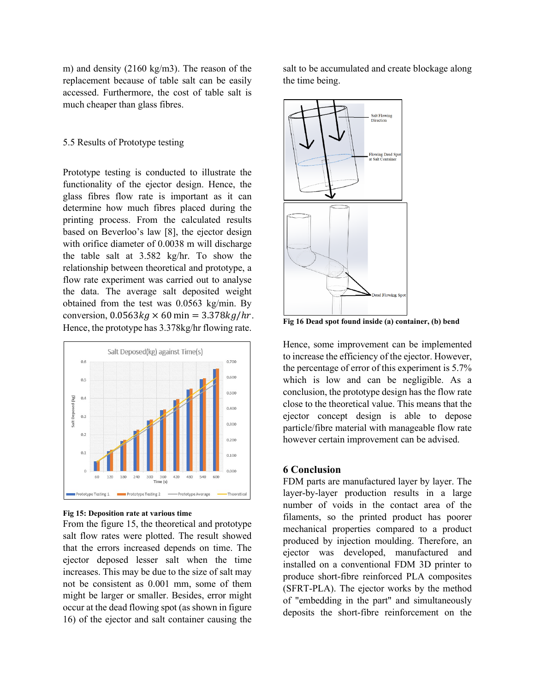m) and density (2160 kg/m3). The reason of the replacement because of table salt can be easily accessed. Furthermore, the cost of table salt is much cheaper than glass fibres.

#### 5.5 Results of Prototype testing

Prototype testing is conducted to illustrate the functionality of the ejector design. Hence, the glass fibres flow rate is important as it can determine how much fibres placed during the printing process. From the calculated results based on Beverloo's law [8], the ejector design with orifice diameter of 0.0038 m will discharge the table salt at 3.582 kg/hr. To show the relationship between theoretical and prototype, a flow rate experiment was carried out to analyse the data. The average salt deposited weight obtained from the test was 0.0563 kg/min. By conversion,  $0.0563 kg \times 60 min = 3.378 kg/hr$ . Hence, the prototype has 3.378kg/hr flowing rate.



**Fig 15: Deposition rate at various time**

From the figure 15, the theoretical and prototype salt flow rates were plotted. The result showed that the errors increased depends on time. The ejector deposed lesser salt when the time increases. This may be due to the size of salt may not be consistent as 0.001 mm, some of them might be larger or smaller. Besides, error might occur at the dead flowing spot (as shown in figure 16) of the ejector and salt container causing the

salt to be accumulated and create blockage along the time being.



**Fig 16 Dead spot found inside (a) container, (b) bend**

Hence, some improvement can be implemented to increase the efficiency of the ejector. However, the percentage of error of this experiment is 5.7% which is low and can be negligible. As a conclusion, the prototype design has the flow rate close to the theoretical value. This means that the ejector concept design is able to depose particle/fibre material with manageable flow rate however certain improvement can be advised.

## **6 Conclusion**

FDM parts are manufactured layer by layer. The layer-by-layer production results in a large number of voids in the contact area of the filaments, so the printed product has poorer mechanical properties compared to a product produced by injection moulding. Therefore, an ejector was developed, manufactured and installed on a conventional FDM 3D printer to produce short-fibre reinforced PLA composites (SFRT-PLA). The ejector works by the method of "embedding in the part" and simultaneously deposits the short-fibre reinforcement on the